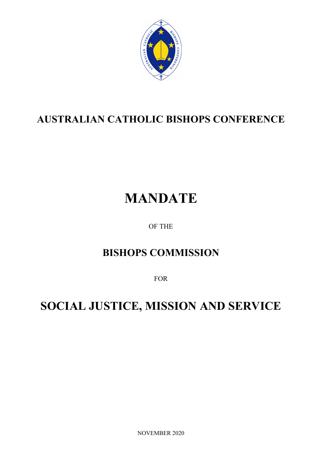

# **AUSTRALIAN CATHOLIC BISHOPS CONFERENCE**

# **MANDATE**

## OF THE

# **BISHOPS COMMISSION**

FOR

# **SOCIAL JUSTICE, MISSION AND SERVICE**

NOVEMBER 2020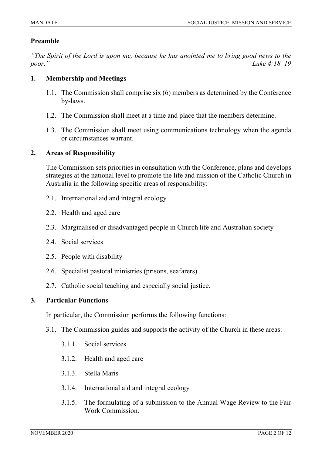#### **Preamble**

*"The Spirit of the Lord is upon me, because he has anointed me to bring good news to the poor." Luke 4:18–19*

#### **1. Membership and Meetings**

- 1.1. The Commission shall comprise six (6) members as determined by the Conference by-laws.
- 1.2. The Commission shall meet at a time and place that the members determine.
- 1.3. The Commission shall meet using communications technology when the agenda or circumstances warrant.

#### **2. Areas of Responsibility**

The Commission sets priorities in consultation with the Conference, plans and develops strategies at the national level to promote the life and mission of the Catholic Church in Australia in the following specific areas of responsibility:

- 2.1. International aid and integral ecology
- 2.2. Health and aged care
- 2.3. Marginalised or disadvantaged people in Church life and Australian society
- 2.4. Social services
- 2.5. People with disability
- 2.6. Specialist pastoral ministries (prisons, seafarers)
- 2.7. Catholic social teaching and especially social justice.

#### **3. Particular Functions**

In particular, the Commission performs the following functions:

- 3.1. The Commission guides and supports the activity of the Church in these areas:
	- 3.1.1. Social services
	- 3.1.2. Health and aged care
	- 3.1.3. Stella Maris
	- 3.1.4. International aid and integral ecology
	- 3.1.5. The formulating of a submission to the Annual Wage Review to the Fair Work Commission.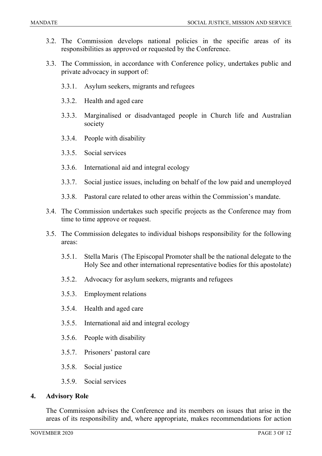- 3.2. The Commission develops national policies in the specific areas of its responsibilities as approved or requested by the Conference.
- 3.3. The Commission, in accordance with Conference policy, undertakes public and private advocacy in support of:
	- 3.3.1. Asylum seekers, migrants and refugees
	- 3.3.2. Health and aged care
	- 3.3.3. Marginalised or disadvantaged people in Church life and Australian society
	- 3.3.4. People with disability
	- 3.3.5. Social services
	- 3.3.6. International aid and integral ecology
	- 3.3.7. Social justice issues, including on behalf of the low paid and unemployed
	- 3.3.8. Pastoral care related to other areas within the Commission's mandate.
- 3.4. The Commission undertakes such specific projects as the Conference may from time to time approve or request.
- 3.5. The Commission delegates to individual bishops responsibility for the following areas:
	- 3.5.1. Stella Maris (The Episcopal Promoter shall be the national delegate to the Holy See and other international representative bodies for this apostolate)
	- 3.5.2. Advocacy for asylum seekers, migrants and refugees
	- 3.5.3. Employment relations
	- 3.5.4. Health and aged care
	- 3.5.5. International aid and integral ecology
	- 3.5.6. People with disability
	- 3.5.7. Prisoners' pastoral care
	- 3.5.8. Social justice
	- 3.5.9. Social services

#### **4. Advisory Role**

The Commission advises the Conference and its members on issues that arise in the areas of its responsibility and, where appropriate, makes recommendations for action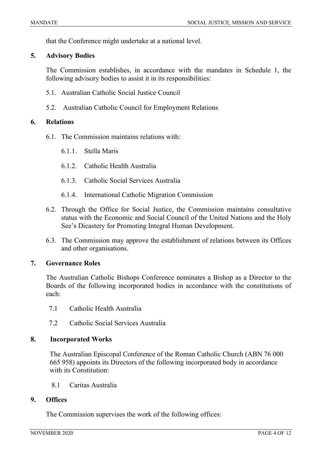that the Conference might undertake at a national level.

#### **5. Advisory Bodies**

The Commission establishes, in accordance with the mandates in Schedule 1, the following advisory bodies to assist it in its responsibilities:

- 5.1. Australian Catholic Social Justice Council
- 5.2. Australian Catholic Council for Employment Relations

#### **6. Relations**

- 6.1. The Commission maintains relations with:
	- 6.1.1. Stella Maris
	- 6.1.2. Catholic Health Australia
	- 6.1.3. Catholic Social Services Australia
	- 6.1.4. International Catholic Migration Commission
- 6.2. Through the Office for Social Justice, the Commission maintains consultative status with the Economic and Social Council of the United Nations and the Holy See's Dicastery for Promoting Integral Human Development.
- 6.3. The Commission may approve the establishment of relations between its Offices and other organisations.

#### **7. Governance Roles**

The Australian Catholic Bishops Conference nominates a Bishop as a Director to the Boards of the following incorporated bodies in accordance with the constitutions of each:

- 7.1 Catholic Health Australia
- 7.2 Catholic Social Services Australia

#### **8. Incorporated Works**

The Australian Episcopal Conference of the Roman Catholic Church (ABN 76 000 665 958) appoints its Directors of the following incorporated body in accordance with its Constitution:

8.1 Caritas Australia

#### **9. Offices**

The Commission supervises the work of the following offices: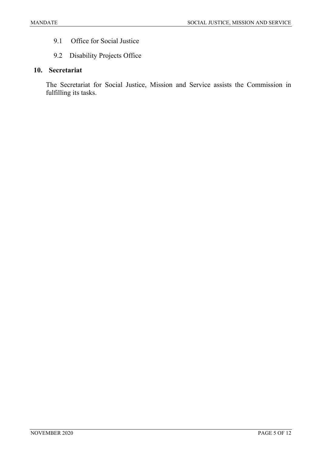- 9.1 Office for Social Justice
- 9.2 Disability Projects Office

### **10. Secretariat**

The Secretariat for Social Justice, Mission and Service assists the Commission in fulfilling its tasks.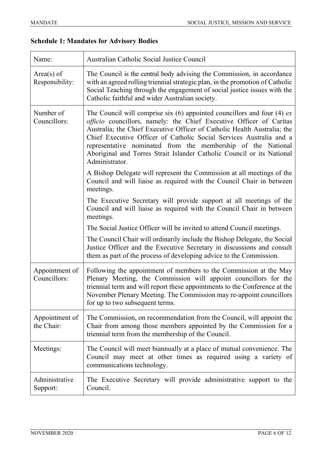# **Schedule 1: Mandates for Advisory Bodies**

| Name:                           | Australian Catholic Social Justice Council                                                                                                                                                                                                                                                                                                                                                                                                                        |
|---------------------------------|-------------------------------------------------------------------------------------------------------------------------------------------------------------------------------------------------------------------------------------------------------------------------------------------------------------------------------------------------------------------------------------------------------------------------------------------------------------------|
| $Area(s)$ of<br>Responsibility: | The Council is the central body advising the Commission, in accordance<br>with an agreed rolling triennial strategic plan, in the promotion of Catholic<br>Social Teaching through the engagement of social justice issues with the<br>Catholic faithful and wider Australian society.                                                                                                                                                                            |
| Number of<br>Councillors:       | The Council will comprise six $(6)$ appointed councillors and four $(4)$ ex<br>officio councillors, namely: the Chief Executive Officer of Caritas<br>Australia; the Chief Executive Officer of Catholic Health Australia; the<br>Chief Executive Officer of Catholic Social Services Australia and a<br>representative nominated from the membership of the National<br>Aboriginal and Torres Strait Islander Catholic Council or its National<br>Administrator. |
|                                 | A Bishop Delegate will represent the Commission at all meetings of the<br>Council and will liaise as required with the Council Chair in between<br>meetings.                                                                                                                                                                                                                                                                                                      |
|                                 | The Executive Secretary will provide support at all meetings of the<br>Council and will liaise as required with the Council Chair in between<br>meetings.                                                                                                                                                                                                                                                                                                         |
|                                 | The Social Justice Officer will be invited to attend Council meetings.                                                                                                                                                                                                                                                                                                                                                                                            |
|                                 | The Council Chair will ordinarily include the Bishop Delegate, the Social<br>Justice Officer and the Executive Secretary in discussions and consult<br>them as part of the process of developing advice to the Commission.                                                                                                                                                                                                                                        |
| Appointment of<br>Councillors:  | Following the appointment of members to the Commission at the May<br>Plenary Meeting, the Commission will appoint councillors for the<br>triennial term and will report these appointments to the Conference at the<br>November Plenary Meeting. The Commission may re-appoint councillors<br>for up to two subsequent terms.                                                                                                                                     |
| Appointment of<br>the Chair:    | The Commission, on recommendation from the Council, will appoint the<br>Chair from among those members appointed by the Commission for a<br>triennial term from the membership of the Council.                                                                                                                                                                                                                                                                    |
| Meetings:                       | The Council will meet biannually at a place of mutual convenience. The<br>Council may meet at other times as required using a variety of<br>communications technology.                                                                                                                                                                                                                                                                                            |
| Administrative<br>Support:      | The Executive Secretary will provide administrative support to the<br>Council.                                                                                                                                                                                                                                                                                                                                                                                    |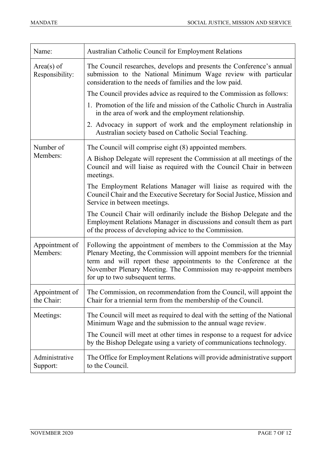| Name:                           | Australian Catholic Council for Employment Relations                                                                                                                                                                                                                                                                  |
|---------------------------------|-----------------------------------------------------------------------------------------------------------------------------------------------------------------------------------------------------------------------------------------------------------------------------------------------------------------------|
| $Area(s)$ of<br>Responsibility: | The Council researches, develops and presents the Conference's annual<br>submission to the National Minimum Wage review with particular<br>consideration to the needs of families and the low paid.                                                                                                                   |
|                                 | The Council provides advice as required to the Commission as follows:                                                                                                                                                                                                                                                 |
|                                 | 1. Promotion of the life and mission of the Catholic Church in Australia<br>in the area of work and the employment relationship.                                                                                                                                                                                      |
|                                 | 2. Advocacy in support of work and the employment relationship in<br>Australian society based on Catholic Social Teaching.                                                                                                                                                                                            |
| Number of                       | The Council will comprise eight (8) appointed members.                                                                                                                                                                                                                                                                |
| Members:                        | A Bishop Delegate will represent the Commission at all meetings of the<br>Council and will liaise as required with the Council Chair in between<br>meetings.                                                                                                                                                          |
|                                 | The Employment Relations Manager will liaise as required with the<br>Council Chair and the Executive Secretary for Social Justice, Mission and<br>Service in between meetings.                                                                                                                                        |
|                                 | The Council Chair will ordinarily include the Bishop Delegate and the<br>Employment Relations Manager in discussions and consult them as part<br>of the process of developing advice to the Commission.                                                                                                               |
| Appointment of<br>Members:      | Following the appointment of members to the Commission at the May<br>Plenary Meeting, the Commission will appoint members for the triennial<br>term and will report these appointments to the Conference at the<br>November Plenary Meeting. The Commission may re-appoint members<br>for up to two subsequent terms. |
| Appointment of<br>the Chair:    | The Commission, on recommendation from the Council, will appoint the<br>Chair for a triennial term from the membership of the Council.                                                                                                                                                                                |
| Meetings:                       | The Council will meet as required to deal with the setting of the National<br>Minimum Wage and the submission to the annual wage review.                                                                                                                                                                              |
|                                 | The Council will meet at other times in response to a request for advice<br>by the Bishop Delegate using a variety of communications technology.                                                                                                                                                                      |
| Administrative<br>Support:      | The Office for Employment Relations will provide administrative support<br>to the Council.                                                                                                                                                                                                                            |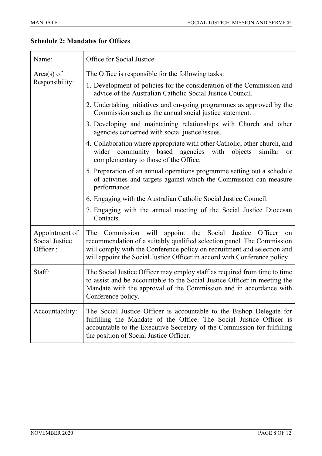| Name:                                        | Office for Social Justice                                                                                                                                                                                                                                                                                       |
|----------------------------------------------|-----------------------------------------------------------------------------------------------------------------------------------------------------------------------------------------------------------------------------------------------------------------------------------------------------------------|
| $Area(s)$ of<br>Responsibility:              | The Office is responsible for the following tasks:                                                                                                                                                                                                                                                              |
|                                              | 1. Development of policies for the consideration of the Commission and<br>advice of the Australian Catholic Social Justice Council.                                                                                                                                                                             |
|                                              | 2. Undertaking initiatives and on-going programmes as approved by the<br>Commission such as the annual social justice statement.                                                                                                                                                                                |
|                                              | 3. Developing and maintaining relationships with Church and other<br>agencies concerned with social justice issues.                                                                                                                                                                                             |
|                                              | 4. Collaboration where appropriate with other Catholic, other church, and<br>wider community based agencies<br>with objects<br>similar<br>or<br>complementary to those of the Office.                                                                                                                           |
|                                              | 5. Preparation of an annual operations programme setting out a schedule<br>of activities and targets against which the Commission can measure<br>performance.                                                                                                                                                   |
|                                              | 6. Engaging with the Australian Catholic Social Justice Council.                                                                                                                                                                                                                                                |
|                                              | 7. Engaging with the annual meeting of the Social Justice Diocesan<br>Contacts.                                                                                                                                                                                                                                 |
| Appointment of<br>Social Justice<br>Officer: | Commission will<br>appoint the Social Justice Officer<br>The<br><sub>on</sub><br>recommendation of a suitably qualified selection panel. The Commission<br>will comply with the Conference policy on recruitment and selection and<br>will appoint the Social Justice Officer in accord with Conference policy. |
| Staff:                                       | The Social Justice Officer may employ staff as required from time to time<br>to assist and be accountable to the Social Justice Officer in meeting the<br>Mandate with the approval of the Commission and in accordance with<br>Conference policy.                                                              |
| Accountability:                              | The Social Justice Officer is accountable to the Bishop Delegate for<br>fulfilling the Mandate of the Office. The Social Justice Officer is<br>accountable to the Executive Secretary of the Commission for fulfilling<br>the position of Social Justice Officer.                                               |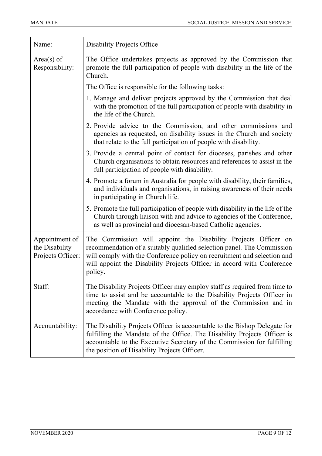| Name:                                                 | <b>Disability Projects Office</b>                                                                                                                                                                                                                                                                        |
|-------------------------------------------------------|----------------------------------------------------------------------------------------------------------------------------------------------------------------------------------------------------------------------------------------------------------------------------------------------------------|
| $Area(s)$ of<br>Responsibility:                       | The Office undertakes projects as approved by the Commission that<br>promote the full participation of people with disability in the life of the<br>Church.                                                                                                                                              |
|                                                       | The Office is responsible for the following tasks:                                                                                                                                                                                                                                                       |
|                                                       | 1. Manage and deliver projects approved by the Commission that deal<br>with the promotion of the full participation of people with disability in<br>the life of the Church.                                                                                                                              |
|                                                       | 2. Provide advice to the Commission, and other commissions and<br>agencies as requested, on disability issues in the Church and society<br>that relate to the full participation of people with disability.                                                                                              |
|                                                       | 3. Provide a central point of contact for dioceses, parishes and other<br>Church organisations to obtain resources and references to assist in the<br>full participation of people with disability.                                                                                                      |
|                                                       | 4. Promote a forum in Australia for people with disability, their families,<br>and individuals and organisations, in raising awareness of their needs<br>in participating in Church life.                                                                                                                |
|                                                       | 5. Promote the full participation of people with disability in the life of the<br>Church through liaison with and advice to agencies of the Conference,<br>as well as provincial and diocesan-based Catholic agencies.                                                                                   |
| Appointment of<br>the Disability<br>Projects Officer: | The Commission will appoint the Disability Projects Officer on<br>recommendation of a suitably qualified selection panel. The Commission<br>will comply with the Conference policy on recruitment and selection and<br>will appoint the Disability Projects Officer in accord with Conference<br>policy. |
| Staff:                                                | The Disability Projects Officer may employ staff as required from time to<br>time to assist and be accountable to the Disability Projects Officer in<br>meeting the Mandate with the approval of the Commission and in<br>accordance with Conference policy.                                             |
| Accountability:                                       | The Disability Projects Officer is accountable to the Bishop Delegate for<br>fulfilling the Mandate of the Office. The Disability Projects Officer is<br>accountable to the Executive Secretary of the Commission for fulfilling<br>the position of Disability Projects Officer.                         |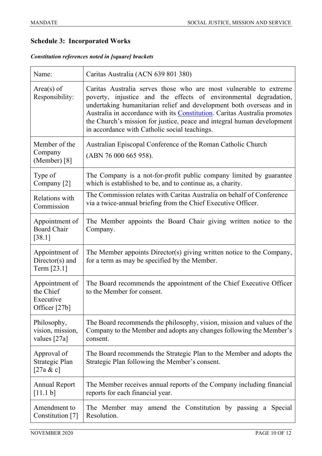## **Schedule 3: Incorporated Works**

*Constitution references noted in [square] brackets*

| Name:                                                     | Caritas Australia (ACN 639 801 380)                                                                                                                                                                                                                                                                                                                                                                                   |
|-----------------------------------------------------------|-----------------------------------------------------------------------------------------------------------------------------------------------------------------------------------------------------------------------------------------------------------------------------------------------------------------------------------------------------------------------------------------------------------------------|
| $Area(s)$ of<br>Responsibility:                           | Caritas Australia serves those who are most vulnerable to extreme<br>poverty, injustice and the effects of environmental degradation,<br>undertaking humanitarian relief and development both overseas and in<br>Australia in accordance with its Constitution. Caritas Australia promotes<br>the Church's mission for justice, peace and integral human development<br>in accordance with Catholic social teachings. |
| Member of the<br>Company<br>(Member) [8]                  | Australian Episcopal Conference of the Roman Catholic Church<br>(ABN 76 000 665 958).                                                                                                                                                                                                                                                                                                                                 |
| Type of<br>Company [2]                                    | The Company is a not-for-profit public company limited by guarantee<br>which is established to be, and to continue as, a charity.                                                                                                                                                                                                                                                                                     |
| Relations with<br>Commission                              | The Commission relates with Caritas Australia on behalf of Conference<br>via a twice-annual briefing from the Chief Executive Officer.                                                                                                                                                                                                                                                                                |
| Appointment of<br><b>Board Chair</b><br>$[38.1]$          | The Member appoints the Board Chair giving written notice to the<br>Company.                                                                                                                                                                                                                                                                                                                                          |
| Appointment of<br>$Directory(s)$ and<br>Term [23.1]       | The Member appoints Director(s) giving written notice to the Company,<br>for a term as may be specified by the Member.                                                                                                                                                                                                                                                                                                |
| Appointment of<br>the Chief<br>Executive<br>Officer [27b] | The Board recommends the appointment of the Chief Executive Officer<br>to the Member for consent.                                                                                                                                                                                                                                                                                                                     |
| Philosophy,<br>vision, mission,<br>values [27a]           | The Board recommends the philosophy, vision, mission and values of the<br>Company to the Member and adopts any changes following the Member's<br>consent.                                                                                                                                                                                                                                                             |
| Approval of<br>Strategic Plan<br>[27a & c]                | The Board recommends the Strategic Plan to the Member and adopts the<br>Strategic Plan following the Member's consent.                                                                                                                                                                                                                                                                                                |
| <b>Annual Report</b><br>[11.1 b]                          | The Member receives annual reports of the Company including financial<br>reports for each financial year.                                                                                                                                                                                                                                                                                                             |
| Amendment to<br>Constitution [7]                          | The Member may amend the Constitution by passing a Special<br>Resolution.                                                                                                                                                                                                                                                                                                                                             |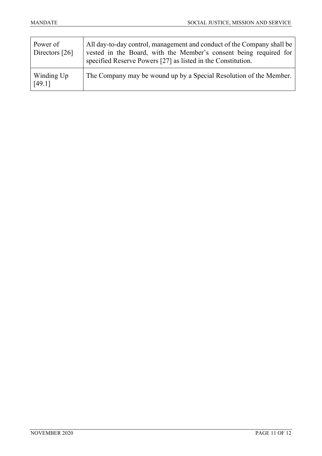| Power of<br>Directors [26] | All day-to-day control, management and conduct of the Company shall be<br>vested in the Board, with the Member's consent being required for<br>specified Reserve Powers [27] as listed in the Constitution. |
|----------------------------|-------------------------------------------------------------------------------------------------------------------------------------------------------------------------------------------------------------|
| Winding Up<br>[49.1]       | The Company may be wound up by a Special Resolution of the Member.                                                                                                                                          |